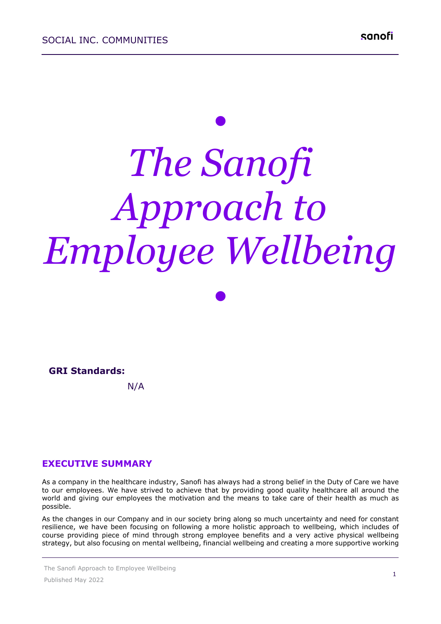# *• The Sanofi Approach to Employee Wellbeing*

*•*

#### **GRI Standards:**

N/A

# **EXECUTIVE SUMMARY**

As a company in the healthcare industry, Sanofi has always had a strong belief in the Duty of Care we have to our employees. We have strived to achieve that by providing good quality healthcare all around the world and giving our employees the motivation and the means to take care of their health as much as possible.

As the changes in our Company and in our society bring along so much uncertainty and need for constant resilience, we have been focusing on following a more holistic approach to wellbeing, which includes of course providing piece of mind through strong employee benefits and a very active physical wellbeing strategy, but also focusing on mental wellbeing, financial wellbeing and creating a more supportive working

The Sanofi Approach to Employee Wellbeing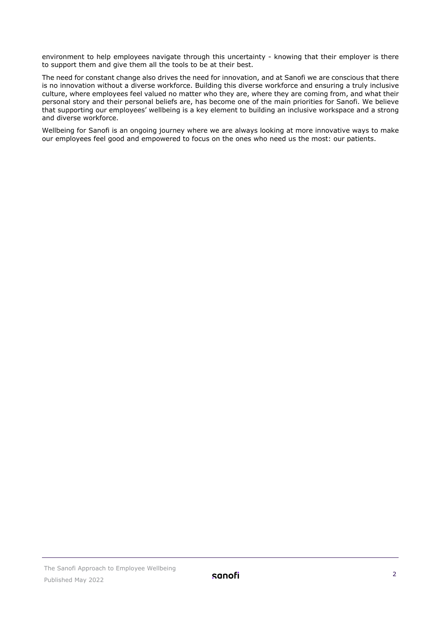environment to help employees navigate through this uncertainty - knowing that their employer is there to support them and give them all the tools to be at their best.

The need for constant change also drives the need for innovation, and at Sanofi we are conscious that there is no innovation without a diverse workforce. Building this diverse workforce and ensuring a truly inclusive culture, where employees feel valued no matter who they are, where they are coming from, and what their personal story and their personal beliefs are, has become one of the main priorities for Sanofi. We believe that supporting our employees' wellbeing is a key element to building an inclusive workspace and a strong and diverse workforce.

Wellbeing for Sanofi is an ongoing journey where we are always looking at more innovative ways to make our employees feel good and empowered to focus on the ones who need us the most: our patients.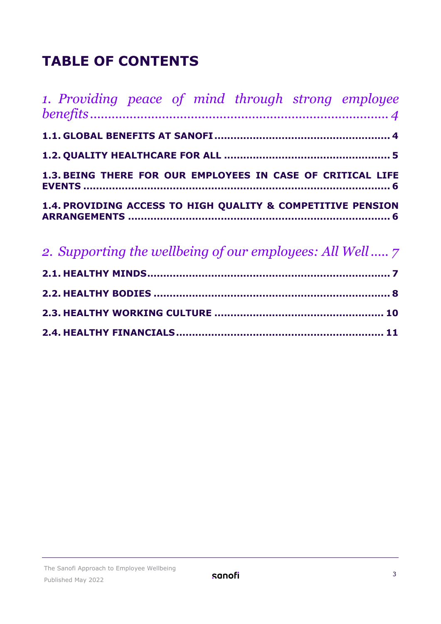# **TABLE OF CONTENTS**

| 1. Providing peace of mind through strong employee          |  |
|-------------------------------------------------------------|--|
|                                                             |  |
|                                                             |  |
| 1.3. BEING THERE FOR OUR EMPLOYEES IN CASE OF CRITICAL LIFE |  |
| 1.4. PROVIDING ACCESS TO HIGH QUALITY & COMPETITIVE PENSION |  |

| 2. Supporting the wellbeing of our employees: All Well 7 |  |
|----------------------------------------------------------|--|
|                                                          |  |
|                                                          |  |
|                                                          |  |
|                                                          |  |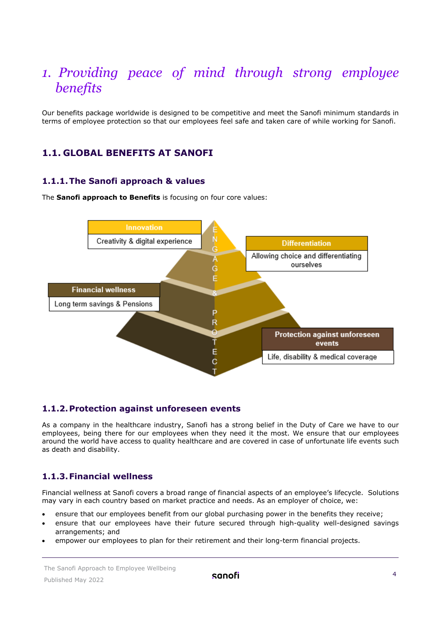# <span id="page-3-0"></span>*1. Providing peace of mind through strong employee benefits*

Our benefits package worldwide is designed to be competitive and meet the Sanofi minimum standards in terms of employee protection so that our employees feel safe and taken care of while working for Sanofi.

# <span id="page-3-1"></span>**1.1. GLOBAL BENEFITS AT SANOFI**

#### **1.1.1.The Sanofi approach & values**

The **Sanofi approach to Benefits** is focusing on four core values:



#### **1.1.2.Protection against unforeseen events**

As a company in the healthcare industry, Sanofi has a strong belief in the Duty of Care we have to our employees, being there for our employees when they need it the most. We ensure that our employees around the world have access to quality healthcare and are covered in case of unfortunate life events such as death and disability.

# **1.1.3.Financial wellness**

Financial wellness at Sanofi covers a broad range of financial aspects of an employee's lifecycle. Solutions may vary in each country based on market practice and needs. As an employer of choice, we:

- ensure that our employees benefit from our global purchasing power in the benefits they receive;
- ensure that our employees have their future secured through high-quality well-designed savings arrangements; and
- empower our employees to plan for their retirement and their long-term financial projects.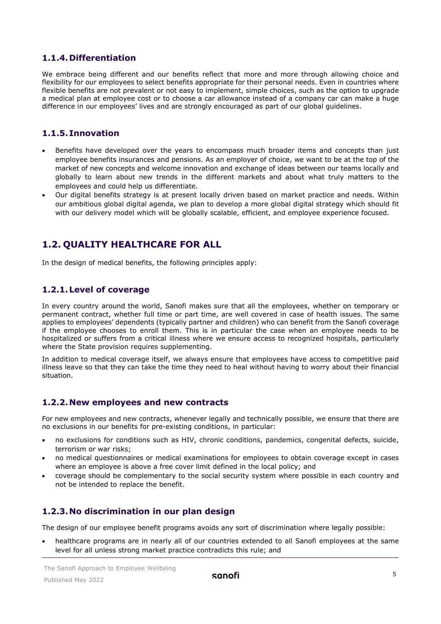# **1.1.4.Differentiation**

We embrace being different and our benefits reflect that more and more through allowing choice and flexibility for our employees to select benefits appropriate for their personal needs. Even in countries where flexible benefits are not prevalent or not easy to implement, simple choices, such as the option to upgrade a medical plan at employee cost or to choose a car allowance instead of a company car can make a huge difference in our employees' lives and are strongly encouraged as part of our global guidelines.

#### **1.1.5.Innovation**

- Benefits have developed over the years to encompass much broader items and concepts than just employee benefits insurances and pensions. As an employer of choice, we want to be at the top of the market of new concepts and welcome innovation and exchange of ideas between our teams locally and globally to learn about new trends in the different markets and about what truly matters to the employees and could help us differentiate.
- Our digital benefits strategy is at present locally driven based on market practice and needs. Within our ambitious global digital agenda, we plan to develop a more global digital strategy which should fit with our delivery model which will be globally scalable, efficient, and employee experience focused.

# <span id="page-4-0"></span>**1.2. QUALITY HEALTHCARE FOR ALL**

In the design of medical benefits, the following principles apply:

# **1.2.1.Level of coverage**

In every country around the world, Sanofi makes sure that all the employees, whether on temporary or permanent contract, whether full time or part time, are well covered in case of health issues. The same applies to employees' dependents (typically partner and children) who can benefit from the Sanofi coverage if the employee chooses to enroll them. This is in particular the case when an employee needs to be hospitalized or suffers from a critical illness where we ensure access to recognized hospitals, particularly where the State provision requires supplementing.

In addition to medical coverage itself, we always ensure that employees have access to competitive paid illness leave so that they can take the time they need to heal without having to worry about their financial situation.

#### **1.2.2.New employees and new contracts**

For new employees and new contracts, whenever legally and technically possible, we ensure that there are no exclusions in our benefits for pre-existing conditions, in particular:

- no exclusions for conditions such as HIV, chronic conditions, pandemics, congenital defects, suicide, terrorism or war risks;
- no medical questionnaires or medical examinations for employees to obtain coverage except in cases where an employee is above a free cover limit defined in the local policy; and
- coverage should be complementary to the social security system where possible in each country and not be intended to replace the benefit.

# **1.2.3.No discrimination in our plan design**

The design of our employee benefit programs avoids any sort of discrimination where legally possible:

• healthcare programs are in nearly all of our countries extended to all Sanofi employees at the same level for all unless strong market practice contradicts this rule; and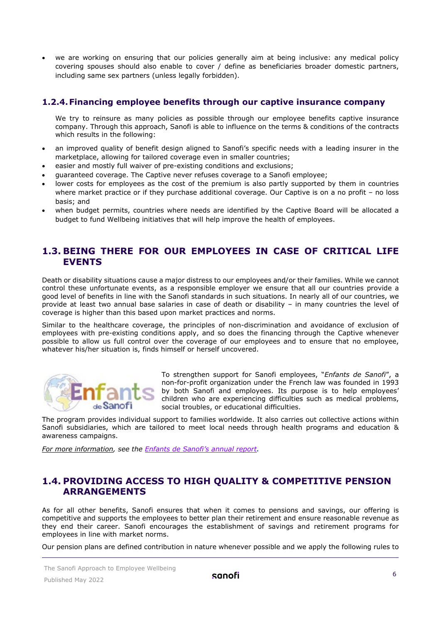• we are working on ensuring that our policies generally aim at being inclusive: any medical policy covering spouses should also enable to cover / define as beneficiaries broader domestic partners, including same sex partners (unless legally forbidden).

# **1.2.4.Financing employee benefits through our captive insurance company**

We try to reinsure as many policies as possible through our employee benefits captive insurance company. Through this approach, Sanofi is able to influence on the terms & conditions of the contracts which results in the following:

- an improved quality of benefit design aligned to Sanofi's specific needs with a leading insurer in the marketplace, allowing for tailored coverage even in smaller countries;
- easier and mostly full waiver of pre-existing conditions and exclusions;
- guaranteed coverage. The Captive never refuses coverage to a Sanofi employee;
- lower costs for employees as the cost of the premium is also partly supported by them in countries where market practice or if they purchase additional coverage. Our Captive is on a no profit – no loss basis; and
- when budget permits, countries where needs are identified by the Captive Board will be allocated a budget to fund Wellbeing initiatives that will help improve the health of employees.

# <span id="page-5-0"></span>**1.3. BEING THERE FOR OUR EMPLOYEES IN CASE OF CRITICAL LIFE EVENTS**

Death or disability situations cause a major distress to our employees and/or their families. While we cannot control these unfortunate events, as a responsible employer we ensure that all our countries provide a good level of benefits in line with the Sanofi standards in such situations. In nearly all of our countries, we provide at least two annual base salaries in case of death or disability – in many countries the level of coverage is higher than this based upon market practices and norms.

Similar to the healthcare coverage, the principles of non-discrimination and avoidance of exclusion of employees with pre-existing conditions apply, and so does the financing through the Captive whenever possible to allow us full control over the coverage of our employees and to ensure that no employee, whatever his/her situation is, finds himself or herself uncovered.



To strengthen support for Sanofi employees, "*Enfants de Sanofi*", a non-for-profit organization under the French law was founded in 1993 by both Sanofi and employees. Its purpose is to help employees' children who are experiencing difficulties such as medical problems, social troubles, or educational difficulties.

The program provides individual support to families worldwide. It also carries out collective actions within Sanofi subsidiaries, which are tailored to meet local needs through health programs and education & awareness campaigns.

<span id="page-5-1"></span>*For more information, see the [Enfants de Sanofi's](https://www.sanofi.com/-/media/Project/One-Sanofi-Web/Websites/Global/Sanofi-COM/Home/en/our-responsibility/docs/documents-center/brochures/Enfants-de-Sanofi-Annual-Report--2020-EN.pdf?la=en) annual report.*

# **1.4. PROVIDING ACCESS TO HIGH QUALITY & COMPETITIVE PENSION ARRANGEMENTS**

As for all other benefits, Sanofi ensures that when it comes to pensions and savings, our offering is competitive and supports the employees to better plan their retirement and ensure reasonable revenue as they end their career. Sanofi encourages the establishment of savings and retirement programs for employees in line with market norms.

Our pension plans are defined contribution in nature whenever possible and we apply the following rules to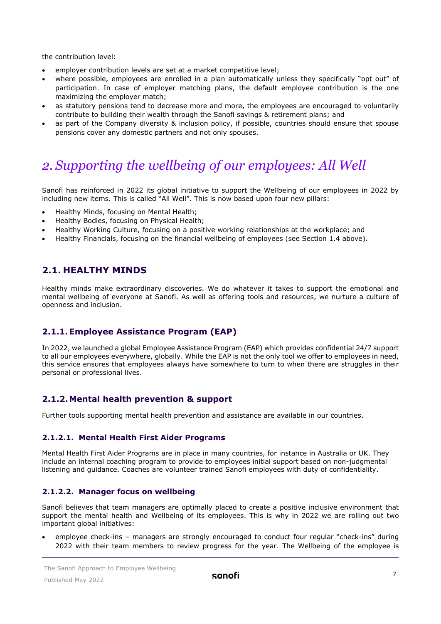the contribution level:

- employer contribution levels are set at a market competitive level;
- where possible, employees are enrolled in a plan automatically unless they specifically "opt out" of participation. In case of employer matching plans, the default employee contribution is the one maximizing the employer match;
- as statutory pensions tend to decrease more and more, the employees are encouraged to voluntarily contribute to building their wealth through the Sanofi savings & retirement plans; and
- as part of the Company diversity & inclusion policy, if possible, countries should ensure that spouse pensions cover any domestic partners and not only spouses.

# <span id="page-6-0"></span>*2. Supporting the wellbeing of our employees: All Well*

Sanofi has reinforced in 2022 its global initiative to support the Wellbeing of our employees in 2022 by including new items. This is called "All Well". This is now based upon four new pillars:

- Healthy Minds, focusing on Mental Health;
- Healthy Bodies, focusing on Physical Health;
- Healthy Working Culture, focusing on a positive working relationships at the workplace; and
- Healthy Financials, focusing on the financial wellbeing of employees (see Section 1.4 above).

# <span id="page-6-1"></span>**2.1. HEALTHY MINDS**

Healthy minds make extraordinary discoveries. We do whatever it takes to support the emotional and mental wellbeing of everyone at Sanofi. As well as offering tools and resources, we nurture a culture of openness and inclusion.

# **2.1.1.Employee Assistance Program (EAP)**

In 2022, we launched a global Employee Assistance Program (EAP) which provides confidential 24/7 support to all our employees everywhere, globally. While the EAP is not the only tool we offer to employees in need, this service ensures that employees always have somewhere to turn to when there are struggles in their personal or professional lives.

# **2.1.2.Mental health prevention & support**

Further tools supporting mental health prevention and assistance are available in our countries.

#### **2.1.2.1. Mental Health First Aider Programs**

Mental Health First Aider Programs are in place in many countries, for instance in Australia or UK. They include an internal coaching program to provide to employees initial support based on non-judgmental listening and guidance. Coaches are volunteer trained Sanofi employees with duty of confidentiality.

#### **2.1.2.2. Manager focus on wellbeing**

Sanofi believes that team managers are optimally placed to create a positive inclusive environment that support the mental health and Wellbeing of its employees. This is why in 2022 we are rolling out two important global initiatives:

• employee check-ins – managers are strongly encouraged to conduct four regular "check-ins" during 2022 with their team members to review progress for the year. The Wellbeing of the employee is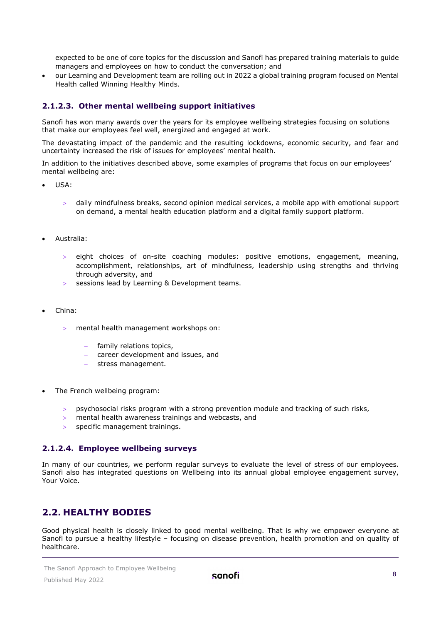expected to be one of core topics for the discussion and Sanofi has prepared training materials to guide managers and employees on how to conduct the conversation; and

• our Learning and Development team are rolling out in 2022 a global training program focused on Mental Health called Winning Healthy Minds.

# **2.1.2.3. Other mental wellbeing support initiatives**

Sanofi has won many awards over the years for its employee wellbeing strategies focusing on solutions that make our employees feel well, energized and engaged at work.

The devastating impact of the pandemic and the resulting lockdowns, economic security, and fear and uncertainty increased the risk of issues for employees' [mental health.](https://www.who.int/health-topics/mental-health)

In addition to the initiatives described above, some examples of programs that focus on our employees' mental wellbeing are:

- USA:
	- > daily mindfulness breaks, second opinion medical services, a mobile app with emotional support on demand, a mental health education platform and a digital family support platform.
- Australia:
	- eight choices of on-site coaching modules: positive emotions, engagement, meaning, accomplishment, relationships, art of mindfulness, leadership using strengths and thriving through adversity, and
	- > sessions lead by Learning & Development teams.
- China:
	- > mental health management workshops on:
		- family relations topics,
		- − career development and issues, and
		- stress management.
- The French wellbeing program:
	- > psychosocial risks program with a strong prevention module and tracking of such risks,
	- > mental health awareness trainings and webcasts, and
	- specific management trainings.

#### **2.1.2.4. Employee wellbeing surveys**

In many of our countries, we perform regular surveys to evaluate the level of stress of our employees. Sanofi also has integrated questions on Wellbeing into its annual global employee engagement survey, Your Voice.

# <span id="page-7-0"></span>**2.2. HEALTHY BODIES**

Good physical health is closely linked to good mental wellbeing. That is why we empower everyone at Sanofi to pursue a healthy lifestyle – focusing on disease prevention, health promotion and on quality of healthcare.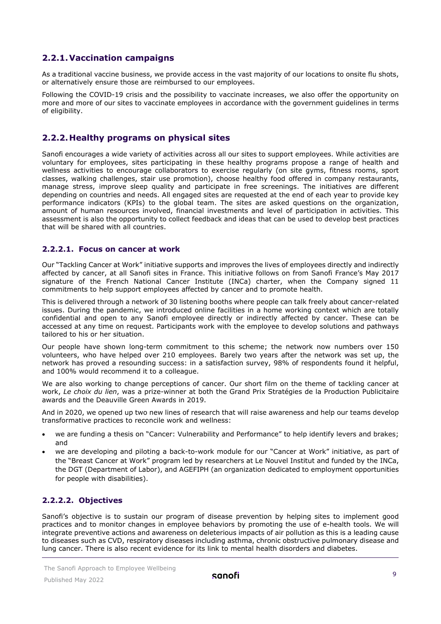# **2.2.1.Vaccination campaigns**

As a traditional vaccine business, we provide access in the vast majority of our locations to onsite flu shots, or alternatively ensure those are reimbursed to our employees.

Following the COVID-19 crisis and the possibility to vaccinate increases, we also offer the opportunity on more and more of our sites to vaccinate employees in accordance with the government guidelines in terms of eligibility.

# **2.2.2.Healthy programs on physical sites**

Sanofi encourages a wide variety of activities across all our sites to support employees. While activities are voluntary for employees, sites participating in these healthy programs propose a range of health and wellness activities to encourage collaborators to exercise regularly (on site gyms, fitness rooms, sport classes, walking challenges, stair use promotion), choose healthy food offered in company restaurants, manage stress, improve sleep quality and participate in free screenings. The initiatives are different depending on countries and needs. All engaged sites are requested at the end of each year to provide key performance indicators (KPIs) to the global team. The sites are asked questions on the organization, amount of human resources involved, financial investments and level of participation in activities. This assessment is also the opportunity to collect feedback and ideas that can be used to develop best practices that will be shared with all countries.

#### **2.2.2.1. Focus on cancer at work**

Our "Tackling Cancer at Work" initiative supports and improves the lives of employees directly and indirectly affected by cancer, at all Sanofi sites in France. This initiative follows on from Sanofi France's May 2017 signature of the French National Cancer Institute (INCa) charter, when the Company signed 11 commitments to help support employees affected by cancer and to promote health.

This is delivered through a network of 30 listening booths where people can talk freely about cancer-related issues. During the pandemic, we introduced online facilities in a home working context which are totally confidential and open to any Sanofi employee directly or indirectly affected by cancer. These can be accessed at any time on request. Participants work with the employee to develop solutions and pathways tailored to his or her situation.

Our people have shown long-term commitment to this scheme; the network now numbers over 150 volunteers, who have helped over 210 employees. Barely two years after the network was set up, the network has proved a resounding success: in a satisfaction survey, 98% of respondents found it helpful, and 100% would recommend it to a colleague.

We are also working to change perceptions of cancer. Our short film on the theme of tackling cancer at work, *Le choix du lien*, was a prize-winner at both the Grand Prix Stratégies de la Production Publicitaire awards and the Deauville Green Awards in 2019.

And in 2020, we opened up two new lines of research that will raise awareness and help our teams develop transformative practices to reconcile work and wellness:

- we are funding a thesis on "Cancer: Vulnerability and Performance" to help identify levers and brakes; and
- we are developing and piloting a back-to-work module for our "Cancer at Work" initiative, as part of the "Breast Cancer at Work" program led by researchers at Le Nouvel Institut and funded by the INCa, the DGT (Department of Labor), and AGEFIPH (an organization dedicated to employment opportunities for people with disabilities).

#### **2.2.2.2. Objectives**

Sanofi's objective is to sustain our program of disease prevention by helping sites to implement good practices and to monitor changes in employee behaviors by promoting the use of e-health tools. We will integrate preventive actions and awareness on deleterious impacts of air pollution as this is a leading cause to diseases such as CVD, respiratory diseases including asthma, chronic obstructive pulmonary disease and lung cancer. There is also recent evidence for its link to mental health disorders and diabetes.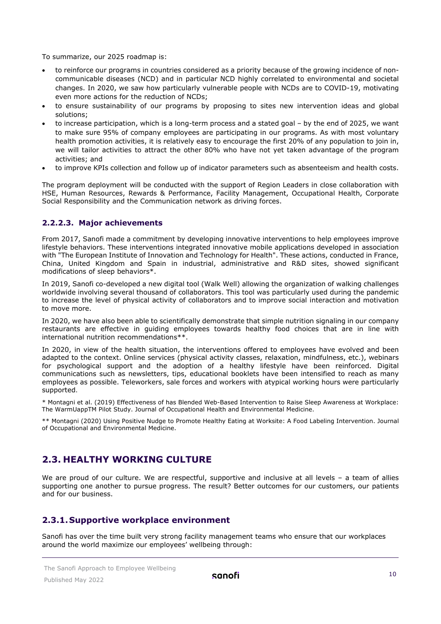To summarize, our 2025 roadmap is:

- to reinforce our programs in countries considered as a priority because of the growing incidence of noncommunicable diseases (NCD) and in particular NCD highly correlated to environmental and societal changes. In 2020, we saw how particularly vulnerable people with NCDs are to COVID-19, motivating even more actions for the reduction of NCDs;
- to ensure sustainability of our programs by proposing to sites new intervention ideas and global solutions;
- to increase participation, which is a long-term process and a stated goal by the end of 2025, we want to make sure 95% of company employees are participating in our programs. As with most voluntary health promotion activities, it is relatively easy to encourage the first 20% of any population to join in, we will tailor activities to attract the other 80% who have not yet taken advantage of the program activities; and
- to improve KPIs collection and follow up of indicator parameters such as absenteeism and health costs.

The program deployment will be conducted with the support of Region Leaders in close collaboration with HSE, Human Resources, Rewards & Performance, Facility Management, Occupational Health, Corporate Social Responsibility and the Communication network as driving forces.

#### **2.2.2.3. Major achievements**

From 2017, Sanofi made a commitment by developing innovative interventions to help employees improve lifestyle behaviors. These interventions integrated innovative mobile applications developed in association with "The European Institute of Innovation and Technology for Health". These actions, conducted in France, China, United Kingdom and Spain in industrial, administrative and R&D sites, showed significant modifications of sleep behaviors\*.

In 2019, Sanofi co-developed a new digital tool (Walk Well) allowing the organization of walking challenges worldwide involving several thousand of collaborators. This tool was particularly used during the pandemic to increase the level of physical activity of collaborators and to improve social interaction and motivation to move more.

In 2020, we have also been able to scientifically demonstrate that simple nutrition signaling in our company restaurants are effective in guiding employees towards healthy food choices that are in line with international nutrition recommendations\*\*.

In 2020, in view of the health situation, the interventions offered to employees have evolved and been adapted to the context. Online services (physical activity classes, relaxation, mindfulness, etc.), webinars for psychological support and the adoption of a healthy lifestyle have been reinforced. Digital communications such as newsletters, tips, educational booklets have been intensified to reach as many employees as possible. Teleworkers, sale forces and workers with atypical working hours were particularly supported.

\* Montagni et al. (2019) Effectiveness of has Blended Web-Based Intervention to Raise Sleep Awareness at Workplace: The WarmUappTM Pilot Study. Journal of Occupational Health and Environmental Medicine.

\*\* Montagni (2020) Using Positive Nudge to Promote Healthy Eating at Worksite: A Food Labeling Intervention. Journal of Occupational and Environmental Medicine.

# <span id="page-9-0"></span>**2.3. HEALTHY WORKING CULTURE**

We are proud of our culture. We are respectful, supportive and inclusive at all levels - a team of allies supporting one another to pursue progress. The result? Better outcomes for our customers, our patients and for our business.

# **2.3.1.Supportive workplace environment**

Sanofi has over the time built very strong facility management teams who ensure that our workplaces around the world maximize our employees' wellbeing through: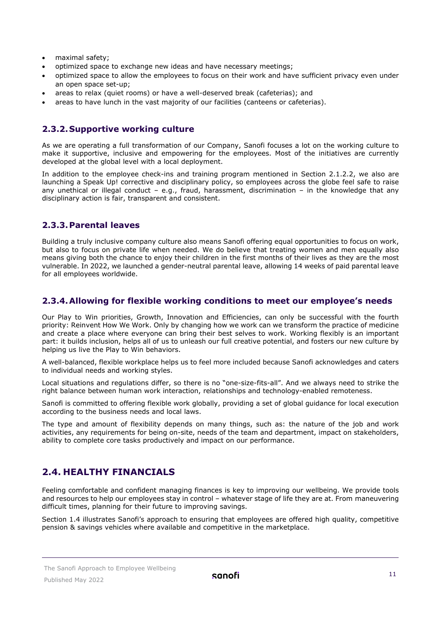- maximal safety;
- optimized space to exchange new ideas and have necessary meetings;
- optimized space to allow the employees to focus on their work and have sufficient privacy even under an open space set-up;
- areas to relax (quiet rooms) or have a well-deserved break (cafeterias); and
- areas to have lunch in the vast majority of our facilities (canteens or cafeterias).

#### **2.3.2.Supportive working culture**

As we are operating a full transformation of our Company, Sanofi focuses a lot on the working culture to make it supportive, inclusive and empowering for the employees. Most of the initiatives are currently developed at the global level with a local deployment.

In addition to the employee check-ins and training program mentioned in Section 2.1.2.2, we also are launching a Speak Up! corrective and disciplinary policy, so employees across the globe feel safe to raise any unethical or illegal conduct – e.g., fraud, harassment, discrimination – in the knowledge that any disciplinary action is fair, transparent and consistent.

# **2.3.3.Parental leaves**

Building a truly inclusive company culture also means Sanofi offering equal opportunities to focus on work, but also to focus on private life when needed. We do believe that treating women and men equally also means giving both the chance to enjoy their children in the first months of their lives as they are the most vulnerable. In 2022, we launched a gender-neutral parental leave, allowing 14 weeks of paid parental leave for all employees worldwide.

# **2.3.4.Allowing for flexible working conditions to meet our employee's needs**

Our Play to Win priorities, Growth, Innovation and Efficiencies, can only be successful with the fourth priority: Reinvent How We Work. Only by changing how we work can we transform the practice of medicine and create a place where everyone can bring their best selves to work. Working flexibly is an important part: it builds inclusion, helps all of us to unleash our full creative potential, and fosters our new culture by helping us live the Play to Win behaviors.

A well-balanced, flexible workplace helps us to feel more included because Sanofi acknowledges and caters to individual needs and working styles.

Local situations and regulations differ, so there is no "one-size-fits-all". And we always need to strike the right balance between human work interaction, relationships and technology-enabled remoteness.

Sanofi is committed to offering flexible work globally, providing a set of global guidance for local execution according to the business needs and local laws.

The type and amount of flexibility depends on many things, such as: the nature of the job and work activities, any requirements for being on-site, needs of the team and department, impact on stakeholders, ability to complete core tasks productively and impact on our performance.

# <span id="page-10-0"></span>**2.4. HEALTHY FINANCIALS**

Feeling comfortable and confident managing finances is key to improving our wellbeing. We provide tools and resources to help our employees stay in control – whatever stage of life they are at. From maneuvering difficult times, planning for their future to improving savings.

Section 1.4 illustrates Sanofi's approach to ensuring that employees are offered high quality, competitive pension & savings vehicles where available and competitive in the marketplace.